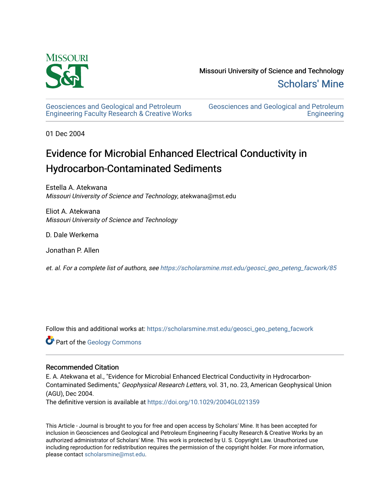

[Geosciences and Geological and Petroleum](https://scholarsmine.mst.edu/geosci_geo_peteng_facwork) [Engineering Faculty Research & Creative Works](https://scholarsmine.mst.edu/geosci_geo_peteng_facwork) [Geosciences and Geological and Petroleum](https://scholarsmine.mst.edu/geosci_geo_peteng)  **Engineering** 

01 Dec 2004

# Evidence for Microbial Enhanced Electrical Conductivity in Hydrocarbon-Contaminated Sediments

Estella A. Atekwana Missouri University of Science and Technology, atekwana@mst.edu

Eliot A. Atekwana Missouri University of Science and Technology

D. Dale Werkema

Jonathan P. Allen

et. al. For a complete list of authors, see [https://scholarsmine.mst.edu/geosci\\_geo\\_peteng\\_facwork/85](https://scholarsmine.mst.edu/geosci_geo_peteng_facwork/85)

Follow this and additional works at: [https://scholarsmine.mst.edu/geosci\\_geo\\_peteng\\_facwork](https://scholarsmine.mst.edu/geosci_geo_peteng_facwork?utm_source=scholarsmine.mst.edu%2Fgeosci_geo_peteng_facwork%2F85&utm_medium=PDF&utm_campaign=PDFCoverPages)

Part of the [Geology Commons](http://network.bepress.com/hgg/discipline/156?utm_source=scholarsmine.mst.edu%2Fgeosci_geo_peteng_facwork%2F85&utm_medium=PDF&utm_campaign=PDFCoverPages)

### Recommended Citation

E. A. Atekwana et al., "Evidence for Microbial Enhanced Electrical Conductivity in Hydrocarbon-Contaminated Sediments," Geophysical Research Letters, vol. 31, no. 23, American Geophysical Union (AGU), Dec 2004.

The definitive version is available at <https://doi.org/10.1029/2004GL021359>

This Article - Journal is brought to you for free and open access by Scholars' Mine. It has been accepted for inclusion in Geosciences and Geological and Petroleum Engineering Faculty Research & Creative Works by an authorized administrator of Scholars' Mine. This work is protected by U. S. Copyright Law. Unauthorized use including reproduction for redistribution requires the permission of the copyright holder. For more information, please contact [scholarsmine@mst.edu.](mailto:scholarsmine@mst.edu)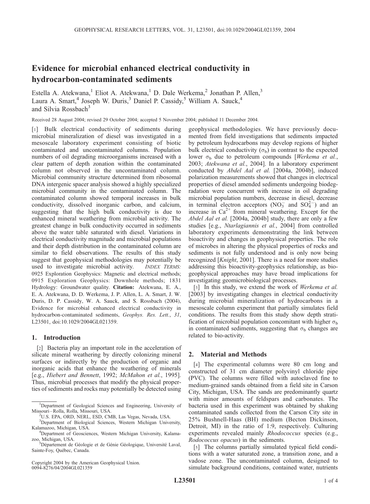## Evidence for microbial enhanced electrical conductivity in hydrocarbon-contaminated sediments

Estella A. Atekwana,<sup>1</sup> Eliot A. Atekwana,<sup>1</sup> D. Dale Werkema,<sup>2</sup> Jonathan P. Allen,<sup>3</sup> Laura A. Smart,<sup>4</sup> Joseph W. Duris,<sup>3</sup> Daniel P. Cassidy,<sup>5</sup> William A. Sauck,<sup>4</sup> and Silvia Rossbach<sup>3</sup>

Received 28 August 2004; revised 29 October 2004; accepted 5 November 2004; published 11 December 2004.

[1] Bulk electrical conductivity of sediments during microbial mineralization of diesel was investigated in a mesoscale laboratory experiment consisting of biotic contaminated and uncontaminated columns. Population numbers of oil degrading microorganisms increased with a clear pattern of depth zonation within the contaminated column not observed in the uncontaminated column. Microbial community structure determined from ribosomal DNA intergenic spacer analysis showed a highly specialized microbial community in the contaminated column. The contaminated column showed temporal increases in bulk conductivity, dissolved inorganic carbon, and calcium, suggesting that the high bulk conductivity is due to enhanced mineral weathering from microbial activity. The greatest change in bulk conductivity occurred in sediments above the water table saturated with diesel. Variations in electrical conductivity magnitude and microbial populations and their depth distribution in the contaminated column are similar to field observations. The results of this study suggest that geophysical methodologies may potentially be used to investigate microbial activity. **INDEX TERMS:** 0925 Exploration Geophysics: Magnetic and electrical methods; 0915 Exploration Geophysics: Downhole methods; 1831 Hydrology: Groundwater quality. Citation: Atekwana, E. A., E. A. Atekwana, D. D. Werkema, J. P. Allen, L. A. Smart, J. W. Duris, D. P. Cassidy, W. A. Sauck, and S. Rossbach (2004), Evidence for microbial enhanced electrical conductivity in hydrocarbon-contaminated sediments, Geophys. Res. Lett., 31, L23501, doi:10.1029/2004GL021359.

#### 1. Introduction

[2] Bacteria play an important role in the acceleration of silicate mineral weathering by directly colonizing mineral surfaces or indirectly by the production of organic and inorganic acids that enhance the weathering of minerals [e.g., Hiebert and Bennett, 1992; McMahon et al., 1995]. Thus, microbial processes that modify the physical properties of sediments and rocks may potentially be detected using

Copyright 2004 by the American Geophysical Union. 0094-8276/04/2004GL021359

geophysical methodologies. We have previously documented from field investigations that sediments impacted by petroleum hydrocarbons may develop regions of higher bulk electrical conductivity  $(\sigma_b)$  in contrast to the expected lower  $\sigma_b$  due to petroleum compounds [Werkema et al., 2003; Atekwana et al., 2004]. In a laboratory experiment conducted by Abdel Aal et al. [2004a, 2004b], induced polarization measurements showed that changes in electrical properties of diesel amended sediments undergoing biodegradation were concurrent with increase in oil degrading microbial population numbers, decrease in diesel, decrease in terminal electron acceptors (NO<sub>3</sub> and SO<sub>4</sub><sup>-</sup>) and an increase in  $Ca^{2+}$  from mineral weathering. Except for the Abdel Aal et al. [2004a, 2004b] study, there are only a few studies [e.g., Ntarlagiannis et al., 2004] from controlled laboratory experiments demonstrating the link between bioactivity and changes in geophysical properties. The role of microbes in altering the physical properties of rocks and sediments is not fully understood and is only now being recognized [Knight, 2001]. There is a need for more studies addressing this bioactivity-geophysics relationship, as biogeophysical approaches may have broad implications for investigating geomicrobiological processes.

[3] In this study, we extend the work of Werkema et al. [2003] by investigating changes in electrical conductivity during microbial mineralization of hydrocarbons in a mesoscale column experiment that partially simulates field conditions. The results from this study show depth stratification of microbial population concomitant with higher  $\sigma_b$ in contaminated sediments, suggesting that  $\sigma_b$  changes are related to bio-activity.

#### 2. Material and Methods

[4] The experimental columns were 80 cm long and constructed of 31 cm diameter polyvinyl chloride pipe (PVC). The columns were filled with autoclaved fine to medium-grained sands obtained from a field site in Carson City, Michigan, USA. The sands are predominantly quartz with minor amounts of feldspars and carbonates. The bacteria used in this experiment was obtained by shaking contaminated sands collected from the Carson City site in 25% Bushnell-Haas (BH) medium (Becton Dickinson, Detroit, MI) in the ratio of 1:9, respectively. Culturing experiments revealed mainly *Rhodococcus* species (e.g., Rodococcus opacus) in the sediments.

[5] The columns partially simulated typical field conditions with a water saturated zone, a transition zone, and a vadose zone. The uncontaminated column, designed to simulate background conditions, contained water, nutrients

<sup>&</sup>lt;sup>1</sup>Department of Geological Sciences and Engineering, University of Missouri –Rolla, Rolla, Missouri, USA. <sup>2</sup>

U.S. EPA, ORD, NERL, ESD, CMB, Las Vegas, Nevada, USA.

<sup>&</sup>lt;sup>3</sup>Department of Biological Sciences, Western Michigan University, Kalamazoo, Michigan, USA. <sup>4</sup>

<sup>&</sup>lt;sup>4</sup>Department of Geosciences, Western Michigan University, Kalamazoo, Michigan, USA. <sup>5</sup>

<sup>&</sup>lt;sup>5</sup>Département de Géologie et de Génie Géologique, Université Laval, Sainte-Foy, Québec, Canada.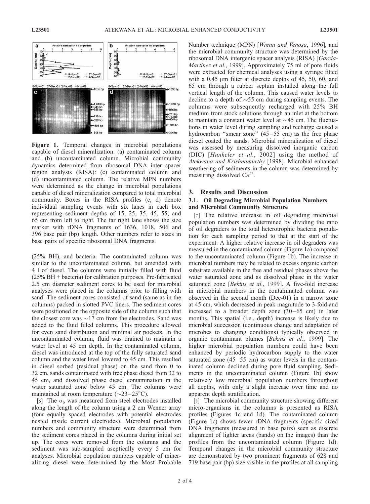

Figure 1. Temporal changes in microbial populations capable of diesel mineralization: (a) contaminated column and (b) uncontaminated column. Microbial community dynamics determined from ribosomal DNA inter spacer region analysis (RISA): (c) contaminated column and (d) uncontaminated column. The relative MPN numbers were determined as the change in microbial populations capable of diesel mineralization compared to total microbial community. Boxes in the RISA profiles (c, d) denote individual sampling events with six lanes in each box representing sediment depths of 15, 25, 35, 45, 55, and 65 cm from left to right. The far right lane shows the size marker with rDNA fragments of 1636, 1018, 506 and 396 base pair (bp) length. Other numbers refer to sizes in base pairs of specific ribosomal DNA fragments.

(25% BH), and bacteria. The contaminated column was similar to the uncontaminated column, but amended with 4 l of diesel. The columns were initially filled with fluid (25% BH + bacteria) for calibration purposes. Pre-fabricated 2.5 cm diameter sediment cores to be used for microbial analyses were placed in the columns prior to filling with sand. The sediment cores consisted of sand (same as in the columns) packed in slotted PVC liners. The sediment cores were positioned on the opposite side of the column such that the closest core was  $\sim$ 17 cm from the electrodes. Sand was added to the fluid filled columns. This procedure allowed for even sand distribution and minimal air pockets. In the uncontaminated column, fluid was drained to maintain a water level at 45 cm depth. In the contaminated column, diesel was introduced at the top of the fully saturated sand column and the water level lowered to 45 cm. This resulted in diesel sorbed (residual phase) on the sand from 0 to 32 cm, sands contaminated with free phase diesel from 32 to 45 cm, and dissolved phase diesel contamination in the water saturated zone below 45 cm. The columns were maintained at room temperature ( $\sim$ 23–25 $^{\circ}$ C).

[6] The  $\sigma_b$  was measured from steel electrodes installed along the length of the column using a 2 cm Wenner array (four equally spaced electrodes with potential electrodes nested inside current electrodes). Microbial population numbers and community structure were determined from the sediment cores placed in the columns during initial set up. The cores were removed from the columns and the sediment was sub-sampled aseptically every 5 cm for analyses. Microbial population numbers capable of mineralizing diesel were determined by the Most Probable

Number technique (MPN) [Wrenn and Venosa, 1996], and the microbial community structure was determined by the ribosomal DNA intergenic spacer analysis (RISA) [Garcia-Martinez et al., 1999]. Approximately 75 ml of pore fluids were extracted for chemical analyses using a syringe fitted with a  $0.45 \mu m$  filter at discrete depths of 45, 50, 60, and 65 cm through a rubber septum installed along the full vertical length of the column. This caused water levels to decline to a depth of  $\sim$ 55 cm during sampling events. The columns were subsequently recharged with 25% BH medium from stock solutions through an inlet at the bottom to maintain a constant water level at  $\sim$ 45 cm. The fluctuations in water level during sampling and recharge caused a hydrocarbon "smear zone"  $(45-55$  cm) as the free phase diesel coated the sands. Microbial mineralization of diesel was assessed by measuring dissolved inorganic carbon (DIC) [Hunkeler et al., 2002] using the method of Atekwana and Krishnamurthy [1998]. Microbial enhanced weathering of sediments in the column was determined by measuring dissolved  $Ca^{2+}$ .

#### 3. Results and Discussion

#### 3.1. Oil Degrading Microbial Population Numbers and Microbial Community Structure

[7] The relative increase in oil degrading microbial population numbers was determined by dividing the ratio of oil degraders to the total heterotrophic bacteria population for each sampling period to that at the start of the experiment. A higher relative increase in oil degraders was measured in the contaminated column (Figure 1a) compared to the uncontaminated column (Figure 1b). The increase in microbial numbers may be related to excess organic carbon substrate available in the free and residual phases above the water saturated zone and as dissolved phase in the water saturated zone [Bekins et al., 1999]. A five-fold increase in microbial numbers in the contaminated column was observed in the second month (Dec-01) in a narrow zone at 45 cm, which decreased in peak magnitude to 3-fold and increased to a broader depth zone  $(30-65 \text{ cm})$  in later months. This spatial (i.e., depth) increase is likely due to microbial succession (continuous change and adaptation of microbes to changing conditions) typically observed in organic contaminant plumes [Bekins et al., 1999]. The higher microbial population numbers could have been enhanced by periodic hydrocarbon supply to the water saturated zone  $(45-55$  cm) as water levels in the contaminated column declined during pore fluid sampling. Sediments in the uncontaminated column (Figure 1b) show relatively low microbial population numbers throughout all depths, with only a slight increase over time and no apparent depth stratification.

[8] The microbial community structure showing different micro-organisms in the columns is presented as RISA profiles (Figures 1c and 1d). The contaminated column (Figure 1c) shows fewer rDNA fragments (specific sized DNA fragments (measured in base pairs) seen as discrete alignment of lighter areas (bands) on the images) than the profiles from the uncontaminated column (Figure 1d). Temporal changes in the microbial community structure are demonstrated by two prominent fragments of 628 and 719 base pair (bp) size visible in the profiles at all sampling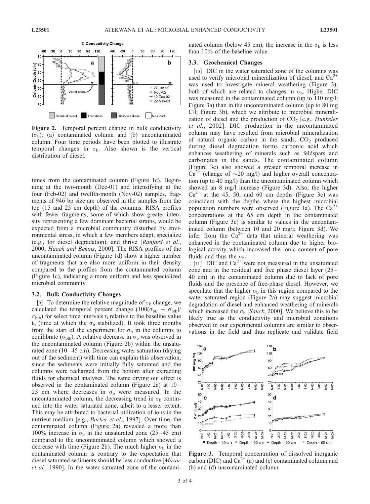

Figure 2. Temporal percent change in bulk conductivity  $(\sigma_b)$ : (a) contaminated column and (b) uncontaminated column. Four time periods have been plotted to illustrate temporal changes in  $\sigma_b$ . Also shown is the vertical distribution of diesel.

times from the contaminated column (Figure 1c). Beginning at the two-month (Dec-01) and intensifying at the four (Feb-02) and twelfth-month (Nov-02) samples, fragments of 946 bp size are observed in the samples from the top (15 and 25 cm depth) of the columns. RISA profiles with fewer fragments, some of which show greater intensity representing a few dominant bacterial strains, would be expected from a microbial community disturbed by environmental stress, in which a few members adapt, specialize (e.g., for diesel degradation), and thrive [Ranjard et al., 2000; Haack and Bekins, 2000]. The RISA profiles of the uncontaminated column (Figure 1d) show a higher number of fragments that are also more uniform in their density compared to the profiles from the contaminated column (Figure 1c), indicating a more uniform and less specialized microbial community.

#### 3.2. Bulk Conductivity Changes

[9] To determine the relative magnitude of  $\sigma_b$  change, we calculated the temporal percent change  $(100(\sigma_{\text{bit}} - \sigma_{\text{btb}}))$  $\sigma_{\rm btb}$ ) for select time intervals t<sub>i</sub> relative to the baseline value  $t<sub>b</sub>$  (time at which the  $\sigma<sub>b</sub>$  stabilized). It took three months from the start of the experiment for  $\sigma_b$  in the columns to equilibrate ( $\sigma_{\text{btb}}$ ). A relative decrease in  $\sigma_{\text{b}}$  was observed in the uncontaminated column (Figure 2b) within the unsaturated zone  $(10-45 \text{ cm})$ . Decreasing water saturation (drying out of the sediment) with time can explain this observation, since the sediments were initially fully saturated and the columns were recharged from the bottom after extracting fluids for chemical analyses. The same drying out effect is observed in the contaminated column (Figure 2a) at 10– 25 cm where decreases in  $\sigma_b$  were measured. In the uncontaminated column, the decreasing trend in  $\sigma_b$  continued into the water saturated zone, albeit to a lesser extent. This may be attributed to bacterial utilization of ions in the nutrient medium [e.g., *Barker et al.*, 1997]. Over time, the contaminated column (Figure 2a) revealed a more than 100% increase in  $\sigma_b$  in the unsaturated zone (25–45 cm) compared to the uncontaminated column which showed a decrease with time (Figure 2b). The much higher  $\sigma_b$  in the contaminated column is contrary to the expectation that diesel saturated sediments should be less conductive [Mázac et al., 1990]. In the water saturated zone of the contaminated column (below 45 cm), the increase in the  $\sigma_b$  is less than 10% of the baseline value.

#### 3.3. Geochemical Changes

[10] DIC in the water saturated zone of the columns was used to verify microbial mineralization of diesel, and  $Ca<sup>2+</sup>$ was used to investigate mineral weathering (Figure 3); both of which are related to changes in  $\sigma_{b}$ . Higher DIC was measured in the contaminated column (up to 110 mg/l; Figure 3a) than in the uncontaminated column (up to 80 mg C/l; Figure 3b), which we attribute to microbial mineralization of diesel and the production of  $CO<sub>2</sub>$  [e.g., *Hunkeler* et al., 2002]. DIC production in the uncontaminated column may have resulted from microbial mineralization of natural organic carbon in the sands.  $CO<sub>2</sub>$  produced during diesel degradation forms carbonic acid which enhances weathering of minerals such as feldspars and carbonates in the sands. The contaminated column (Figure 3c) also showed a greater temporal increase in  $Ca^{2+}$  (change of  $\sim$ 20 mg/l) and higher overall concentration (up to 40 mg/l) than the uncontaminated column which showed an 8 mg/l increase (Figure 3d). Also, the higher  $Ca^{2+}$  at the 45, 50, and 60 cm depths (Figure 3c) was coincident with the depths where the highest microbial population numbers were observed (Figure 1a). The  $Ca^{2+}$ concentrations at the 65 cm depth in the contaminated column (Figure 3c) is similar to values in the uncontaminated column (between 10 and 20 mg/l; Figure 3d). We infer from the  $Ca^{2+}$  data that mineral weathering was enhanced in the contaminated column due to higher biological activity which increased the ionic content of pore fluids and thus the  $\sigma_{\rm b}$ .

[11] DIC and  $Ca^{2+}$  were not measured in the unsaturated zone and in the residual and free phase diesel layer (25 – 40 cm) in the contaminated column due to lack of pore fluids and the presence of free-phase diesel. However, we speculate that the higher  $\sigma_b$  in this region compared to the water saturated region (Figure 2a) may suggest microbial degradation of diesel and enhanced weathering of minerals which increased the  $\sigma_b$  [Sauck, 2000]. We believe this to be likely true as the conductivity and microbial zonations observed in our experimental columns are similar to observations in the field and thus replicate and validate field



Figure 3. Temporal concentration of dissolved inorganic carbon (DIC) and  $Ca^{2+}(a)$  and (c) contaminated column and (b) and (d) uncontaminated column.